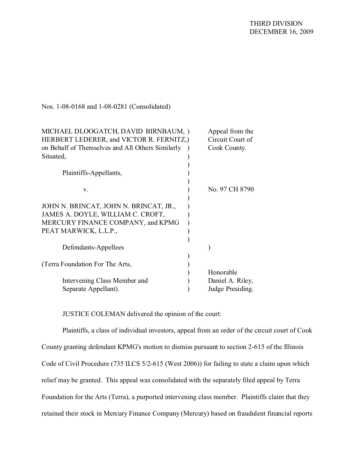| Appeal from the  |
|------------------|
| Circuit Court of |
| Cook County.     |
|                  |
|                  |
|                  |
|                  |
| No. 97 CH 8790   |
|                  |
|                  |
|                  |
|                  |
|                  |
|                  |
|                  |
|                  |
|                  |
| Honorable        |
| Daniel A. Riley, |
| Judge Presiding. |
|                  |

JUSTICE COLEMAN delivered the opinion of the court:

Plaintiffs, a class of individual investors, appeal from an order of the circuit court of Cook County granting defendant KPMG's motion to dismiss pursuant to section 2-615 of the Illinois Code of Civil Procedure (735 ILCS 5/2-615 (West 2006)) for failing to state a claim upon which relief may be granted. This appeal was consolidated with the separately filed appeal by Terra Foundation for the Arts (Terra), a purported intervening class member. Plaintiffs claim that they retained their stock in Mercury Finance Company (Mercury) based on fraudulent financial reports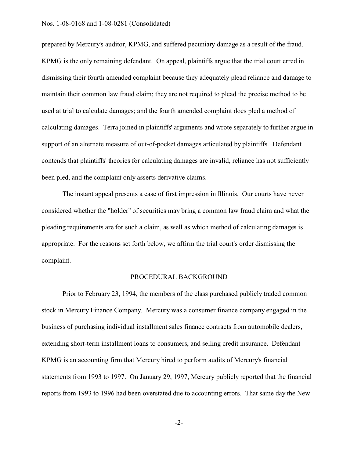prepared by Mercury's auditor, KPMG, and suffered pecuniary damage as a result of the fraud. KPMG is the only remaining defendant. On appeal, plaintiffs argue that the trial court erred in dismissing their fourth amended complaint because they adequately plead reliance and damage to maintain their common law fraud claim; they are not required to plead the precise method to be used at trial to calculate damages; and the fourth amended complaint does pled a method of calculating damages. Terra joined in plaintiffs' arguments and wrote separately to further argue in support of an alternate measure of out-of-pocket damages articulated by plaintiffs. Defendant contends that plaintiffs' theories for calculating damages are invalid, reliance has not sufficiently been pled, and the complaint only asserts derivative claims.

The instant appeal presents a case of first impression in Illinois. Our courts have never considered whether the "holder" of securities may bring a common law fraud claim and what the pleading requirements are for such a claim, as well as which method of calculating damages is appropriate. For the reasons set forth below, we affirm the trial court's order dismissing the complaint.

# PROCEDURAL BACKGROUND

Prior to February 23, 1994, the members of the class purchased publicly traded common stock in Mercury Finance Company. Mercury was a consumer finance company engaged in the business of purchasing individual installment sales finance contracts from automobile dealers, extending short-term installment loans to consumers, and selling credit insurance. Defendant KPMG is an accounting firm that Mercury hired to perform audits of Mercury's financial statements from 1993 to 1997. On January 29, 1997, Mercury publicly reported that the financial reports from 1993 to 1996 had been overstated due to accounting errors. That same day the New

-2-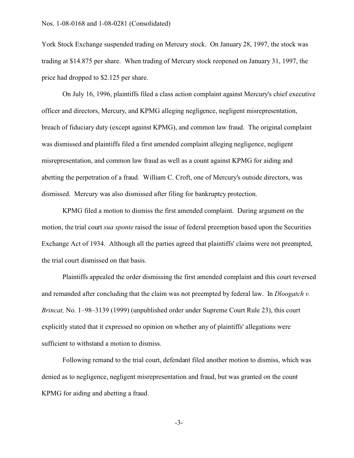York Stock Exchange suspended trading on Mercury stock. On January 28, 1997, the stock was trading at \$14.875 per share. When trading of Mercury stock reopened on January 31, 1997, the price had dropped to \$2.125 per share.

On July 16, 1996, plaintiffs filed a class action complaint against Mercury's chief executive officer and directors, Mercury, and KPMG alleging negligence, negligent misrepresentation, breach of fiduciary duty (except against KPMG), and common law fraud. The original complaint was dismissed and plaintiffs filed a first amended complaint alleging negligence, negligent misrepresentation, and common law fraud as well as a count against KPMG for aiding and abetting the perpetration of a fraud. William C. Croft, one of Mercury's outside directors, was dismissed. Mercury was also dismissed after filing for bankruptcy protection.

KPMG filed a motion to dismiss the first amended complaint. During argument on the motion, the trial court *sua sponte* raised the issue of federal preemption based upon the Securities Exchange Act of 1934. Although all the parties agreed that plaintiffs' claims were not preempted, the trial court dismissed on that basis.

Plaintiffs appealed the order dismissing the first amended complaint and this court reversed and remanded after concluding that the claim was not preempted by federal law. In *Dloogatch v. Brincat,* No. 1–98–3139 (1999) (unpublished order under Supreme Court Rule 23), this court explicitly stated that it expressed no opinion on whether any of plaintiffs' allegations were sufficient to withstand a motion to dismiss.

Following remand to the trial court, defendant filed another motion to dismiss, which was denied as to negligence, negligent misrepresentation and fraud, but was granted on the count KPMG for aiding and abetting a fraud.

-3-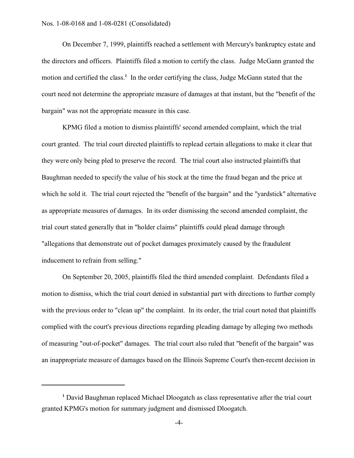On December 7, 1999, plaintiffs reached a settlement with Mercury's bankruptcy estate and the directors and officers. Plaintiffs filed a motion to certify the class. Judge McGann granted the motion and certified the class.**<sup>1</sup>** In the order certifying the class, Judge McGann stated that the court need not determine the appropriate measure of damages at that instant, but the "benefit of the bargain" was not the appropriate measure in this case.

KPMG filed a motion to dismiss plaintiffs' second amended complaint, which the trial court granted. The trial court directed plaintiffs to replead certain allegations to make it clear that they were only being pled to preserve the record. The trial court also instructed plaintiffs that Baughman needed to specify the value of his stock at the time the fraud began and the price at which he sold it. The trial court rejected the "benefit of the bargain" and the "yardstick" alternative as appropriate measures of damages. In its order dismissing the second amended complaint, the trial court stated generally that in "holder claims" plaintiffs could plead damage through "allegations that demonstrate out of pocket damages proximately caused by the fraudulent inducement to refrain from selling."

On September 20, 2005, plaintiffs filed the third amended complaint. Defendants filed a motion to dismiss, which the trial court denied in substantial part with directions to further comply with the previous order to "clean up" the complaint. In its order, the trial court noted that plaintiffs complied with the court's previous directions regarding pleading damage by alleging two methods of measuring "out-of-pocket" damages. The trial court also ruled that "benefit of the bargain" was an inappropriate measure of damages based on the Illinois Supreme Court's then-recent decision in

**<sup>1</sup>** David Baughman replaced Michael Dloogatch as class representative after the trial court granted KPMG's motion for summary judgment and dismissed Dloogatch.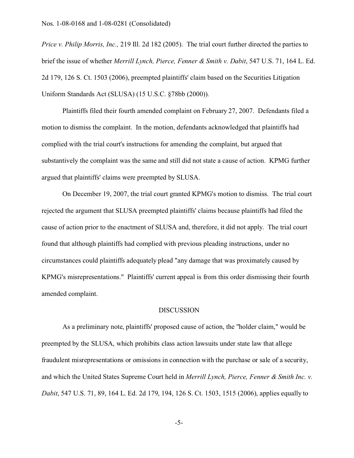*Price v. Philip Morris, Inc.,* 219 Ill. 2d 182 (2005). The trial court further directed the parties to brief the issue of whether *Merrill Lynch, Pierce, Fenner & Smith v. Dabit*, 547 U.S. 71, 164 L. Ed. 2d 179, 126 S. Ct. 1503 (2006), preempted plaintiffs' claim based on the Securities Litigation Uniform Standards Act (SLUSA) (15 U.S.C. §78bb (2000)).

Plaintiffs filed their fourth amended complaint on February 27, 2007. Defendants filed a motion to dismiss the complaint. In the motion, defendants acknowledged that plaintiffs had complied with the trial court's instructions for amending the complaint, but argued that substantively the complaint was the same and still did not state a cause of action. KPMG further argued that plaintiffs' claims were preempted by SLUSA.

On December 19, 2007, the trial court granted KPMG's motion to dismiss. The trial court rejected the argument that SLUSA preempted plaintiffs' claims because plaintiffs had filed the cause of action prior to the enactment of SLUSA and, therefore, it did not apply. The trial court found that although plaintiffs had complied with previous pleading instructions, under no circumstances could plaintiffs adequately plead "any damage that was proximately caused by KPMG's misrepresentations." Plaintiffs' current appeal is from this order dismissing their fourth amended complaint.

# DISCUSSION

As a preliminary note, plaintiffs' proposed cause of action, the "holder claim," would be preempted by the SLUSA, which prohibits class action lawsuits under state law that allege fraudulent misrepresentations or omissions in connection with the purchase or sale of a security, and which the United States Supreme Court held in *Merrill Lynch, Pierce, Fenner & Smith Inc. v. Dabit*, 547 U.S. 71, 89, 164 L. Ed. 2d 179, 194, 126 S. Ct. 1503, 1515 (2006), applies equally to

-5-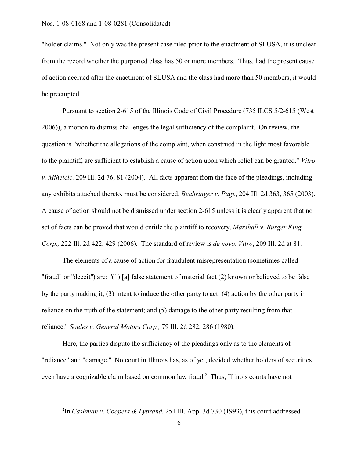"holder claims." Not only was the present case filed prior to the enactment of SLUSA, it is unclear from the record whether the purported class has 50 or more members. Thus, had the present cause of action accrued after the enactment of SLUSA and the class had more than 50 members, it would be preempted.

Pursuant to section 2-615 of the Illinois Code of Civil Procedure (735 ILCS 5/2-615 (West 2006)), a motion to dismiss challenges the legal sufficiency of the complaint. On review, the question is "whether the allegations of the complaint, when construed in the light most favorable to the plaintiff, are sufficient to establish a cause of action upon which relief can be granted." *Vitro v. Mihelcic,* 209 Ill. 2d 76, 81 (2004). All facts apparent from the face of the pleadings, including any exhibits attached thereto, must be considered. *Beahringer v. Page*, 204 Ill. 2d 363, 365 (2003). A cause of action should not be dismissed under section 2-615 unless it is clearly apparent that no set of facts can be proved that would entitle the plaintiff to recovery. *Marshall v. Burger King Corp.,* 222 Ill. 2d 422, 429 (2006). The standard of review is *de novo*. *Vitro*, 209 Ill. 2d at 81.

The elements of a cause of action for fraudulent misrepresentation (sometimes called "fraud" or "deceit") are: "(1) [a] false statement of material fact (2) known or believed to be false by the party making it; (3) intent to induce the other party to act; (4) action by the other party in reliance on the truth of the statement; and (5) damage to the other party resulting from that reliance." *Soules v. General Motors Corp.,* 79 Ill. 2d 282, 286 (1980).

Here, the parties dispute the sufficiency of the pleadings only as to the elements of "reliance" and "damage." No court in Illinois has, as of yet, decided whether holders of securities even have a cognizable claim based on common law fraud.**<sup>2</sup>** Thus, Illinois courts have not

**<sup>2</sup>** In *Cashman v. Coopers & Lybrand,* 251 Ill. App. 3d 730 (1993), this court addressed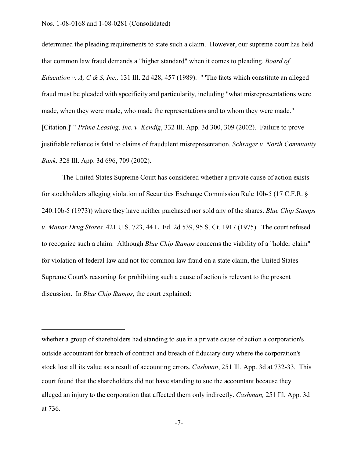determined the pleading requirements to state such a claim. However, our supreme court has held that common law fraud demands a "higher standard" when it comes to pleading. *Board of Education v. A, C & S, Inc.,* 131 Ill. 2d 428, 457 (1989). " 'The facts which constitute an alleged fraud must be pleaded with specificity and particularity, including "what misrepresentations were made, when they were made, who made the representations and to whom they were made." [Citation.]' " *Prime Leasing, Inc. v. Kendig*, 332 Ill. App. 3d 300, 309 (2002). Failure to prove justifiable reliance is fatal to claims of fraudulent misrepresentation. *Schrager v. North Community Bank,* 328 Ill. App. 3d 696, 709 (2002).

The United States Supreme Court has considered whether a private cause of action exists for stockholders alleging violation of Securities Exchange Commission Rule 10b-5 (17 C.F.R. § 240.10b-5 (1973)) where they have neither purchased nor sold any of the shares. *Blue Chip Stamps v. Manor Drug Stores,* 421 U.S. 723, 44 L. Ed. 2d 539, 95 S. Ct. 1917 (1975). The court refused to recognize such a claim. Although *Blue Chip Stamps* concerns the viability of a "holder claim" for violation of federal law and not for common law fraud on a state claim, the United States Supreme Court's reasoning for prohibiting such a cause of action is relevant to the present discussion. In *Blue Chip Stamps,* the court explained:

whether a group of shareholders had standing to sue in a private cause of action a corporation's outside accountant for breach of contract and breach of fiduciary duty where the corporation's stock lost all its value as a result of accounting errors. *Cashman*, 251 Ill. App. 3d at 732-33. This court found that the shareholders did not have standing to sue the accountant because they alleged an injury to the corporation that affected them only indirectly. *Cashman,* 251 Ill. App. 3d at 736.

-7-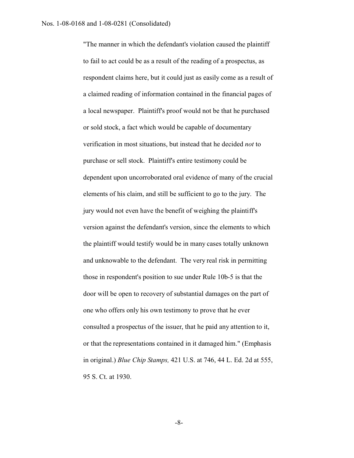"The manner in which the defendant's violation caused the plaintiff to fail to act could be as a result of the reading of a prospectus, as respondent claims here, but it could just as easily come as a result of a claimed reading of information contained in the financial pages of a local newspaper. Plaintiff's proof would not be that he purchased or sold stock, a fact which would be capable of documentary verification in most situations, but instead that he decided *not* to purchase or sell stock. Plaintiff's entire testimony could be dependent upon uncorroborated oral evidence of many of the crucial elements of his claim, and still be sufficient to go to the jury. The jury would not even have the benefit of weighing the plaintiff's version against the defendant's version, since the elements to which the plaintiff would testify would be in many cases totally unknown and unknowable to the defendant. The very real risk in permitting those in respondent's position to sue under Rule 10b*-*5 is that the door will be open to recovery of substantial damages on the part of one who offers only his own testimony to prove that he ever consulted a prospectus of the issuer, that he paid any attention to it, or that the representations contained in it damaged him." (Emphasis in original.) *Blue Chip Stamps,* 421 U.S. at 746, 44 L. Ed. 2d at 555, 95 S. Ct. at 1930.

-8-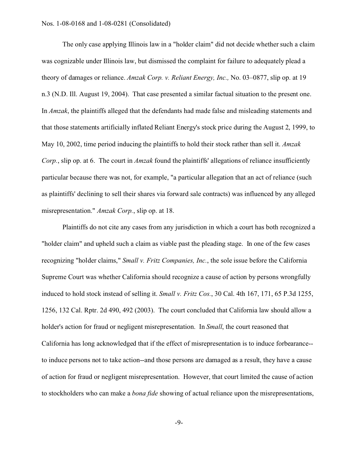The only case applying Illinois law in a "holder claim" did not decide whether such a claim was cognizable under Illinois law, but dismissed the complaint for failure to adequately plead a theory of damages or reliance. *Amzak Corp. v. Reliant Energy, Inc.,* No. 03–0877, slip op. at 19 n.3 (N.D. Ill. August 19, 2004). That case presented a similar factual situation to the present one. In *Amzak*, the plaintiffs alleged that the defendants had made false and misleading statements and that those statements artificially inflated Reliant Energy's stock price during the August 2, 1999, to May 10, 2002, time period inducing the plaintiffs to hold their stock rather than sell it. *Amzak Corp.*, slip op. at 6. The court in *Amzak* found the plaintiffs' allegations of reliance insufficiently particular because there was not, for example, "a particular allegation that an act of reliance (such as plaintiffs' declining to sell their shares via forward sale contracts) was influenced by any alleged misrepresentation." *Amzak Corp.*, slip op. at 18.

Plaintiffs do not cite any cases from any jurisdiction in which a court has both recognized a "holder claim" and upheld such a claim as viable past the pleading stage. In one of the few cases recognizing "holder claims," *Small v. Fritz Companies, Inc.*, the sole issue before the California Supreme Court was whether California should recognize a cause of action by persons wrongfully induced to hold stock instead of selling it. *Small v. Fritz Cos.*, 30 Cal. 4th 167, 171, 65 P.3d 1255, 1256, 132 Cal. Rptr. 2d 490, 492 (2003). The court concluded that California law should allow a holder's action for fraud or negligent misrepresentation. In *Small*, the court reasoned that California has long acknowledged that if the effect of misrepresentation is to induce forbearance- to induce persons not to take action--and those persons are damaged as a result, they have a cause of action for fraud or negligent misrepresentation. However, that court limited the cause of action to stockholders who can make a *bona fide* showing of actual reliance upon the misrepresentations,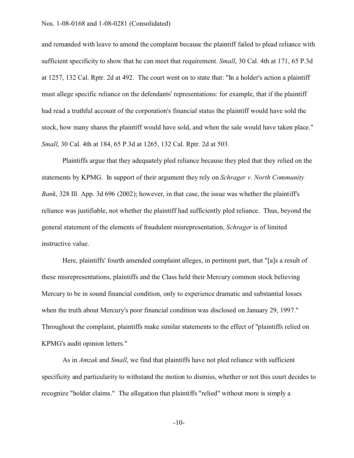and remanded with leave to amend the complaint because the plaintiff failed to plead reliance with sufficient specificity to show that he can meet that requirement. *Small*, 30 Cal. 4th at 171, 65 P.3d at 1257, 132 Cal. Rptr. 2d at 492. The court went on to state that: "In a holder's action a plaintiff must allege specific reliance on the defendants' representations: for example, that if the plaintiff had read a truthful account of the corporation's financial status the plaintiff would have sold the stock, how many shares the plaintiff would have sold, and when the sale would have taken place." *Small*, 30 Cal. 4th at 184, 65 P.3d at 1265, 132 Cal. Rptr. 2d at 503.

Plaintiffs argue that they adequately pled reliance because they pled that they relied on the statements by KPMG. In support of their argument they rely on *Schrager v. North Community Bank*, 328 Ill. App. 3d 696 (2002); however, in that case, the issue was whether the plaintiff's reliance was justifiable, not whether the plaintiff had sufficiently pled reliance. Thus, beyond the general statement of the elements of fraudulent misrepresentation, *Schrager* is of limited instructive value.

Here, plaintiffs' fourth amended complaint alleges, in pertinent part, that "[a]s a result of these misrepresentations, plaintiffs and the Class held their Mercury common stock believing Mercury to be in sound financial condition, only to experience dramatic and substantial losses when the truth about Mercury's poor financial condition was disclosed on January 29, 1997." Throughout the complaint, plaintiffs make similar statements to the effect of "plaintiffs relied on KPMG's audit opinion letters."

As in *Amzak* and *Small*, we find that plaintiffs have not pled reliance with sufficient specificity and particularity to withstand the motion to dismiss, whether or not this court decides to recognize "holder claims." The allegation that plaintiffs "relied" without more is simply a

-10-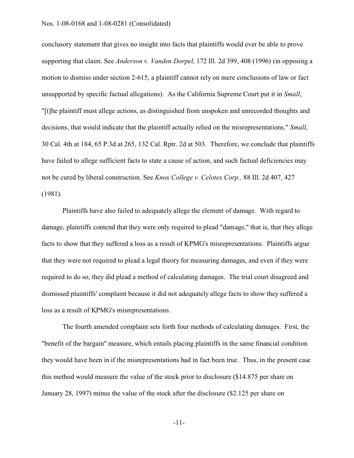conclusory statement that gives no insight into facts that plaintiffs would ever be able to prove supporting that claim. See *Anderson v. Vanden Dorpel,* 172 Ill. 2d 399, 408 (1996) (in opposing a motion to dismiss under section 2-615, a plaintiff cannot rely on mere conclusions of law or fact unsupported by specific factual allegations). As the California Supreme Court put it in *Small*, "[t]he plaintiff must allege actions, as distinguished from unspoken and unrecorded thoughts and decisions, that would indicate that the plaintiff actually relied on the misrepresentations." *Small*, 30 Cal. 4th at 184, 65 P.3d at 265, 132 Cal. Rptr. 2d at 503. Therefore, we conclude that plaintiffs have failed to allege sufficient facts to state a cause of action, and such factual deficiencies may not be cured by liberal construction. See *Knox College v. Celotex Corp.,* 88 Ill. 2d 407, 427 (1981).

Plaintiffs have also failed to adequately allege the element of damage. With regard to damage, plaintiffs contend that they were only required to plead "damage," that is, that they allege facts to show that they suffered a loss as a result of KPMG's misrepresentations. Plaintiffs argue that they were not required to plead a legal theory for measuring damages, and even if they were required to do so, they did plead a method of calculating damages. The trial court disagreed and dismissed plaintiffs' complaint because it did not adequately allege facts to show they suffered a loss as a result of KPMG's misrepresentations.

The fourth amended complaint sets forth four methods of calculating damages. First, the "benefit of the bargain" measure, which entails placing plaintiffs in the same financial condition they would have been in if the misrepresentations had in fact been true. Thus, in the present case this method would measure the value of the stock prior to disclosure (\$14.875 per share on January 28, 1997) minus the value of the stock after the disclosure (\$2.125 per share on

-11-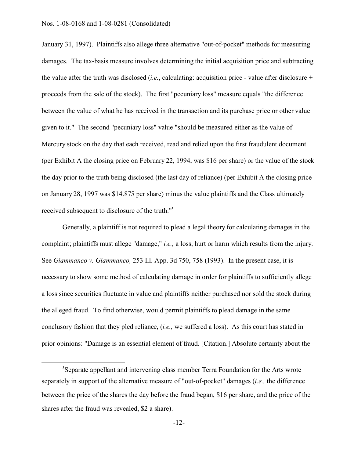January 31, 1997). Plaintiffs also allege three alternative "out-of-pocket" methods for measuring damages. The tax-basis measure involves determining the initial acquisition price and subtracting the value after the truth was disclosed (*i.e.*, calculating: acquisition price - value after disclosure + proceeds from the sale of the stock). The first "pecuniary loss" measure equals "the difference between the value of what he has received in the transaction and its purchase price or other value given to it." The second "pecuniary loss" value "should be measured either as the value of Mercury stock on the day that each received, read and relied upon the first fraudulent document (per Exhibit A the closing price on February 22, 1994, was \$16 per share) or the value of the stock the day prior to the truth being disclosed (the last day of reliance) (per Exhibit A the closing price on January 28, 1997 was \$14.875 per share) minus the value plaintiffs and the Class ultimately received subsequent to disclosure of the truth."**<sup>3</sup>**

Generally, a plaintiff is not required to plead a legal theory for calculating damages in the complaint; plaintiffs must allege "damage," *i.e.,* a loss, hurt or harm which results from the injury. See *Giammanco v. Giammanco,* 253 Ill. App. 3d 750, 758 (1993). In the present case, it is necessary to show some method of calculating damage in order for plaintiffs to sufficiently allege a loss since securities fluctuate in value and plaintiffs neither purchased nor sold the stock during the alleged fraud. To find otherwise, would permit plaintiffs to plead damage in the same conclusory fashion that they pled reliance, (*i.e.,* we suffered a loss). As this court has stated in prior opinions: "Damage is an essential element of fraud. [Citation.] Absolute certainty about the

**<sup>3</sup>**Separate appellant and intervening class member Terra Foundation for the Arts wrote separately in support of the alternative measure of "out-of-pocket" damages (*i.e.,* the difference between the price of the shares the day before the fraud began, \$16 per share, and the price of the shares after the fraud was revealed, \$2 a share).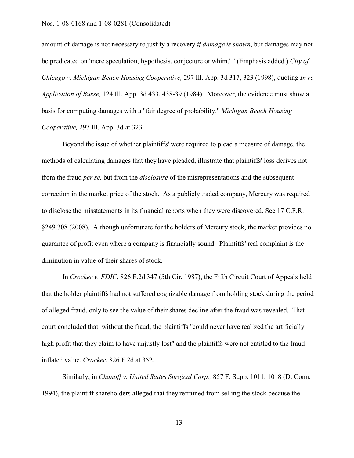amount of damage is not necessary to justify a recovery *if damage is shown*, but damages may not be predicated on 'mere speculation, hypothesis, conjecture or whim.' " (Emphasis added.) *City of Chicago v. Michigan Beach Housing Cooperative,* 297 Ill. App. 3d 317, 323 (1998), quoting *In re Application of Busse,* 124 Ill. App. 3d 433, 438-39 (1984). Moreover, the evidence must show a basis for computing damages with a "fair degree of probability." *Michigan Beach Housing Cooperative,* 297 Ill. App. 3d at 323.

Beyond the issue of whether plaintiffs' were required to plead a measure of damage, the methods of calculating damages that they have pleaded, illustrate that plaintiffs' loss derives not from the fraud *per se,* but from the *disclosure* of the misrepresentations and the subsequent correction in the market price of the stock. As a publicly traded company, Mercury was required to disclose the misstatements in its financial reports when they were discovered. See 17 C.F.R. §249.308 (2008). Although unfortunate for the holders of Mercury stock, the market provides no guarantee of profit even where a company is financially sound. Plaintiffs' real complaint is the diminution in value of their shares of stock.

In *Crocker v. FDIC*, 826 F.2d 347 (5th Cir. 1987), the Fifth Circuit Court of Appeals held that the holder plaintiffs had not suffered cognizable damage from holding stock during the period of alleged fraud, only to see the value of their shares decline after the fraud was revealed. That court concluded that, without the fraud, the plaintiffs "could never have realized the artificially high profit that they claim to have unjustly lost" and the plaintiffs were not entitled to the fraudinflated value. *Crocker*, 826 F.2d at 352.

Similarly, in *Chanoff v. United States Surgical Corp.,* 857 F. Supp. 1011, 1018 (D. Conn. 1994), the plaintiff shareholders alleged that they refrained from selling the stock because the

-13-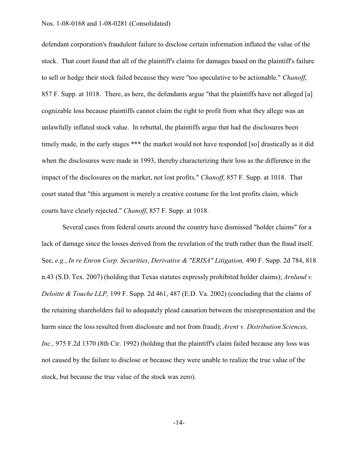defendant corporation's fraudulent failure to disclose certain information inflated the value of the stock. That court found that all of the plaintiff's claims for damages based on the plaintiff's failure to sell or hedge their stock failed because they were "too speculative to be actionable." *Chanoff*, 857 F. Supp. at 1018. There, as here, the defendants argue "that the plaintiffs have not alleged [a] cognizable loss because plaintiffs cannot claim the right to profit from what they allege was an unlawfully inflated stock value. In rebuttal, the plaintiffs argue that had the disclosures been timely made, in the early stages \*\*\* the market would not have responded [so] drastically as it did when the disclosures were made in 1993, thereby characterizing their loss as the difference in the impact of the disclosures on the market, not lost profits." *Chanoff*, 857 F. Supp. at 1018. That court stated that "this argument is merely a creative costume for the lost profits claim, which courts have clearly rejected." *Chanoff*, 857 F. Supp. at 1018.

Several cases from federal courts around the country have dismissed "holder claims" for a lack of damage since the losses derived from the revelation of the truth rather than the fraud itself. See, *e.g.*, *In re Enron Corp. Securities, Derivative & "ERISA" Litigation,* 490 F. Supp. 2d 784, 818 n.43 (S.D. Tex. 2007) (holding that Texas statutes expressly prohibited holder claims); *Arnlund v. Deloitte & Touche LLP,* 199 F. Supp. 2d 461, 487 (E.D. Va. 2002) (concluding that the claims of the retaining shareholders fail to adequately plead causation between the misrepresentation and the harm since the loss resulted from disclosure and not from fraud); *Arent v. Distribution Sciences, Inc.*, 975 F.2d 1370 (8th Cir. 1992) (holding that the plaintiff's claim failed because any loss was not caused by the failure to disclose or because they were unable to realize the true value of the stock, but because the true value of the stock was zero).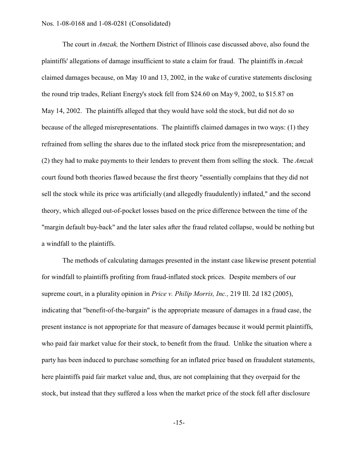The court in *Amzak,* the Northern District of Illinois case discussed above, also found the plaintiffs' allegations of damage insufficient to state a claim for fraud. The plaintiffs in *Amzak* claimed damages because, on May 10 and 13, 2002, in the wake of curative statements disclosing the round trip trades, Reliant Energy's stock fell from \$24.60 on May 9, 2002, to \$15.87 on May 14, 2002. The plaintiffs alleged that they would have sold the stock, but did not do so because of the alleged misrepresentations. The plaintiffs claimed damages in two ways: (1) they refrained from selling the shares due to the inflated stock price from the misrepresentation; and (2) they had to make payments to their lenders to prevent them from selling the stock. The *Amzak* court found both theories flawed because the first theory "essentially complains that they did not sell the stock while its price was artificially (and allegedly fraudulently) inflated," and the second theory, which alleged out-of-pocket losses based on the price difference between the time of the "margin default buy-back" and the later sales after the fraud related collapse, would be nothing but a windfall to the plaintiffs.

The methods of calculating damages presented in the instant case likewise present potential for windfall to plaintiffs profiting from fraud-inflated stock prices. Despite members of our supreme court, in a plurality opinion in *Price v. Philip Morris, Inc.,* 219 Ill. 2d 182 (2005), indicating that "benefit-of-the-bargain" is the appropriate measure of damages in a fraud case, the present instance is not appropriate for that measure of damages because it would permit plaintiffs, who paid fair market value for their stock, to benefit from the fraud. Unlike the situation where a party has been induced to purchase something for an inflated price based on fraudulent statements, here plaintiffs paid fair market value and, thus, are not complaining that they overpaid for the stock, but instead that they suffered a loss when the market price of the stock fell after disclosure

-15-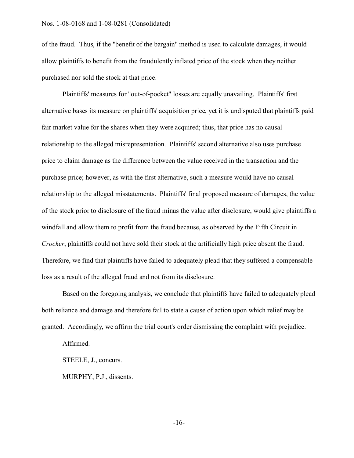of the fraud. Thus, if the "benefit of the bargain" method is used to calculate damages, it would allow plaintiffs to benefit from the fraudulently inflated price of the stock when they neither purchased nor sold the stock at that price.

Plaintiffs' measures for "out-of-pocket" losses are equally unavailing. Plaintiffs' first alternative bases its measure on plaintiffs' acquisition price, yet it is undisputed that plaintiffs paid fair market value for the shares when they were acquired; thus, that price has no causal relationship to the alleged misrepresentation. Plaintiffs' second alternative also uses purchase price to claim damage as the difference between the value received in the transaction and the purchase price; however, as with the first alternative, such a measure would have no causal relationship to the alleged misstatements. Plaintiffs' final proposed measure of damages, the value of the stock prior to disclosure of the fraud minus the value after disclosure, would give plaintiffs a windfall and allow them to profit from the fraud because, as observed by the Fifth Circuit in *Crocker*, plaintiffs could not have sold their stock at the artificially high price absent the fraud. Therefore, we find that plaintiffs have failed to adequately plead that they suffered a compensable loss as a result of the alleged fraud and not from its disclosure.

Based on the foregoing analysis, we conclude that plaintiffs have failed to adequately plead both reliance and damage and therefore fail to state a cause of action upon which relief may be granted. Accordingly, we affirm the trial court's order dismissing the complaint with prejudice.

Affirmed.

STEELE, J., concurs.

MURPHY, P.J., dissents.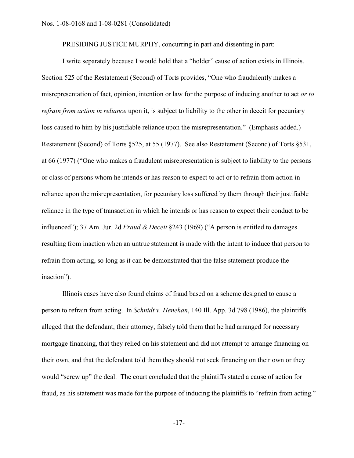PRESIDING JUSTICE MURPHY, concurring in part and dissenting in part:

I write separately because I would hold that a "holder" cause of action exists in Illinois. Section 525 of the Restatement (Second) of Torts provides, "One who fraudulently makes a misrepresentation of fact, opinion, intention or law for the purpose of inducing another to act *or to refrain from action in reliance* upon it, is subject to liability to the other in deceit for pecuniary loss caused to him by his justifiable reliance upon the misrepresentation." (Emphasis added.) Restatement (Second) of Torts §525, at 55 (1977). See also Restatement (Second) of Torts §531, at 66 (1977) ("One who makes a fraudulent misrepresentation is subject to liability to the persons or class of persons whom he intends or has reason to expect to act or to refrain from action in reliance upon the misrepresentation, for pecuniary loss suffered by them through their justifiable reliance in the type of transaction in which he intends or has reason to expect their conduct to be influenced"); 37 Am. Jur. 2d *Fraud & Deceit* §243 (1969) ("A person is entitled to damages resulting from inaction when an untrue statement is made with the intent to induce that person to refrain from acting, so long as it can be demonstrated that the false statement produce the inaction").

Illinois cases have also found claims of fraud based on a scheme designed to cause a person to refrain from acting. In *Schnidt v. Henehan*, 140 Ill. App. 3d 798 (1986), the plaintiffs alleged that the defendant, their attorney, falsely told them that he had arranged for necessary mortgage financing, that they relied on his statement and did not attempt to arrange financing on their own, and that the defendant told them they should not seek financing on their own or they would "screw up" the deal. The court concluded that the plaintiffs stated a cause of action for fraud, as his statement was made for the purpose of inducing the plaintiffs to "refrain from acting."

-17-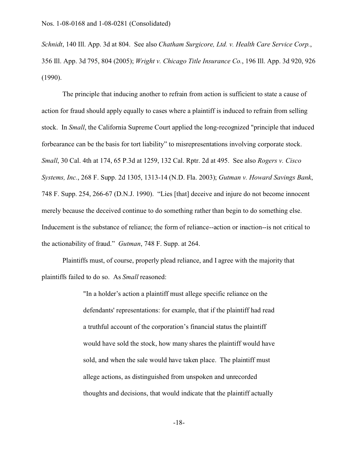*Schnidt*, 140 Ill. App. 3d at 804. See also *Chatham Surgicore, Ltd. v. Health Care Service Corp.*, 356 Ill. App. 3d 795, 804 (2005); *Wright v. Chicago Title Insurance Co.*, 196 Ill. App. 3d 920, 926 (1990).

The principle that inducing another to refrain from action is sufficient to state a cause of action for fraud should apply equally to cases where a plaintiff is induced to refrain from selling stock. In *Small*, the California Supreme Court applied the long-recognized "principle that induced forbearance can be the basis for tort liability" to misrepresentations involving corporate stock. *Small*, 30 Cal. 4th at 174, 65 P.3d at 1259, 132 Cal. Rptr. 2d at 495. See also *Rogers v. Cisco Systems, Inc.*, 268 F. Supp. 2d 1305, 1313-14 (N.D. Fla. 2003); *Gutman v. Howard Savings Bank*, 748 F. Supp. 254, 266-67 (D.N.J. 1990). "Lies [that] deceive and injure do not become innocent merely because the deceived continue to do something rather than begin to do something else. Inducement is the substance of reliance; the form of reliance--action or inaction--is not critical to the actionability of fraud." *Gutman*, 748 F. Supp. at 264.

Plaintiffs must, of course, properly plead reliance, and I agree with the majority that plaintiffs failed to do so. As *Small* reasoned:

> "In a holder's action a plaintiff must allege specific reliance on the defendants' representations: for example, that if the plaintiff had read a truthful account of the corporation's financial status the plaintiff would have sold the stock, how many shares the plaintiff would have sold, and when the sale would have taken place. The plaintiff must allege actions, as distinguished from unspoken and unrecorded thoughts and decisions, that would indicate that the plaintiff actually

> > -18-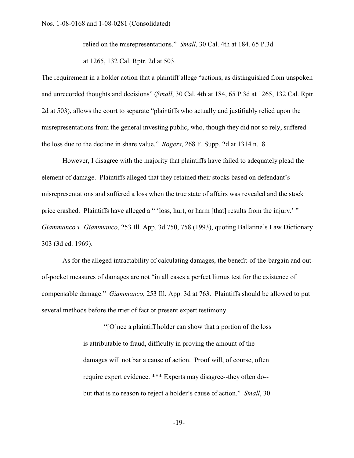relied on the misrepresentations." *Small*, 30 Cal. 4th at 184, 65 P.3d

at 1265, 132 Cal. Rptr. 2d at 503.

The requirement in a holder action that a plaintiff allege "actions, as distinguished from unspoken and unrecorded thoughts and decisions" (*Small*, 30 Cal. 4th at 184, 65 P.3d at 1265, 132 Cal. Rptr. 2d at 503), allows the court to separate "plaintiffs who actually and justifiably relied upon the misrepresentations from the general investing public, who, though they did not so rely, suffered the loss due to the decline in share value." *Rogers*, 268 F. Supp. 2d at 1314 n.18.

However, I disagree with the majority that plaintiffs have failed to adequately plead the element of damage. Plaintiffs alleged that they retained their stocks based on defendant's misrepresentations and suffered a loss when the true state of affairs was revealed and the stock price crashed. Plaintiffs have alleged a " 'loss, hurt, or harm [that] results from the injury.' " *Giammanco v. Giammanco*, 253 Ill. App. 3d 750, 758 (1993), quoting Ballatine's Law Dictionary 303 (3d ed. 1969).

As for the alleged intractability of calculating damages, the benefit-of-the-bargain and outof-pocket measures of damages are not "in all cases a perfect litmus test for the existence of compensable damage." *Giammanco*, 253 Ill. App. 3d at 763. Plaintiffs should be allowed to put several methods before the trier of fact or present expert testimony.

> "[O]nce a plaintiff holder can show that a portion of the loss is attributable to fraud, difficulty in proving the amount of the damages will not bar a cause of action. Proof will, of course, often require expert evidence. \*\*\* Experts may disagree--they often do- but that is no reason to reject a holder's cause of action." *Small*, 30

> > -19-